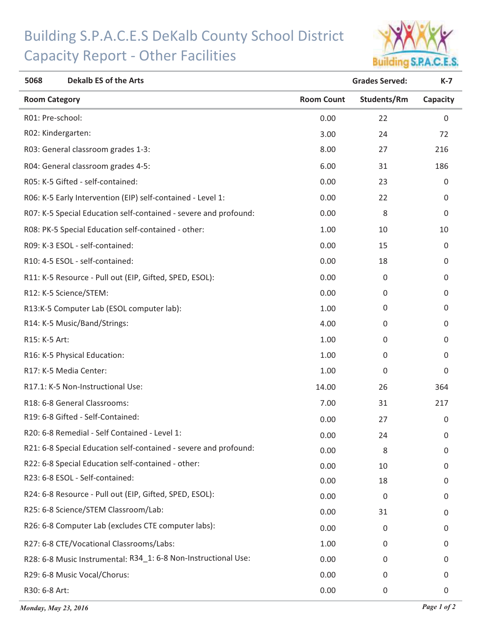## Building S.P.A.C.E.S DeKalb County School District Capacity Report - Other Facilities



| <b>Dekalb ES of the Arts</b><br>5068                             |                   | <b>Grades Served:</b> | $K-7$       |
|------------------------------------------------------------------|-------------------|-----------------------|-------------|
| <b>Room Category</b>                                             | <b>Room Count</b> | Students/Rm           | Capacity    |
| R01: Pre-school:                                                 | 0.00              | 22                    | $\mathbf 0$ |
| R02: Kindergarten:                                               | 3.00              | 24                    | 72          |
| R03: General classroom grades 1-3:                               | 8.00              | 27                    | 216         |
| R04: General classroom grades 4-5:                               | 6.00              | 31                    | 186         |
| R05: K-5 Gifted - self-contained:                                | 0.00              | 23                    | 0           |
| R06: K-5 Early Intervention (EIP) self-contained - Level 1:      | 0.00              | 22                    | 0           |
| R07: K-5 Special Education self-contained - severe and profound: | 0.00              | 8                     | 0           |
| R08: PK-5 Special Education self-contained - other:              | 1.00              | 10                    | 10          |
| R09: K-3 ESOL - self-contained:                                  | 0.00              | 15                    | 0           |
| R10: 4-5 ESOL - self-contained:                                  | 0.00              | 18                    | 0           |
| R11: K-5 Resource - Pull out (EIP, Gifted, SPED, ESOL):          | 0.00              | $\mathbf{0}$          | 0           |
| R12: K-5 Science/STEM:                                           | 0.00              | 0                     | 0           |
| R13:K-5 Computer Lab (ESOL computer lab):                        | 1.00              | 0                     | 0           |
| R14: K-5 Music/Band/Strings:                                     | 4.00              | 0                     | 0           |
| R15: K-5 Art:                                                    | 1.00              | $\mathbf{0}$          | 0           |
| R16: K-5 Physical Education:                                     | 1.00              | 0                     | 0           |
| R17: K-5 Media Center:                                           | 1.00              | $\mathbf 0$           | 0           |
| R17.1: K-5 Non-Instructional Use:                                | 14.00             | 26                    | 364         |
| R18: 6-8 General Classrooms:                                     | 7.00              | 31                    | 217         |
| R19: 6-8 Gifted - Self-Contained:                                | 0.00              | 27                    | 0           |
| R20: 6-8 Remedial - Self Contained - Level 1:                    | 0.00              | 24                    | 0           |
| R21: 6-8 Special Education self-contained - severe and profound: | 0.00              | 8                     | 0           |
| R22: 6-8 Special Education self-contained - other:               | 0.00              | 10                    | 0           |
| R23: 6-8 ESOL - Self-contained:                                  | 0.00              | 18                    | 0           |
| R24: 6-8 Resource - Pull out (EIP, Gifted, SPED, ESOL):          | 0.00              | $\mathbf{0}$          | 0           |
| R25: 6-8 Science/STEM Classroom/Lab:                             | 0.00              | 31                    | 0           |
| R26: 6-8 Computer Lab (excludes CTE computer labs):              | 0.00              | 0                     | 0           |
| R27: 6-8 CTE/Vocational Classrooms/Labs:                         | 1.00              | 0                     | 0           |
| R28: 6-8 Music Instrumental: R34_1: 6-8 Non-Instructional Use:   | 0.00              | 0                     | 0           |
| R29: 6-8 Music Vocal/Chorus:                                     | 0.00              | 0                     | 0           |
| R30: 6-8 Art:                                                    | 0.00              | 0                     | $\pmb{0}$   |